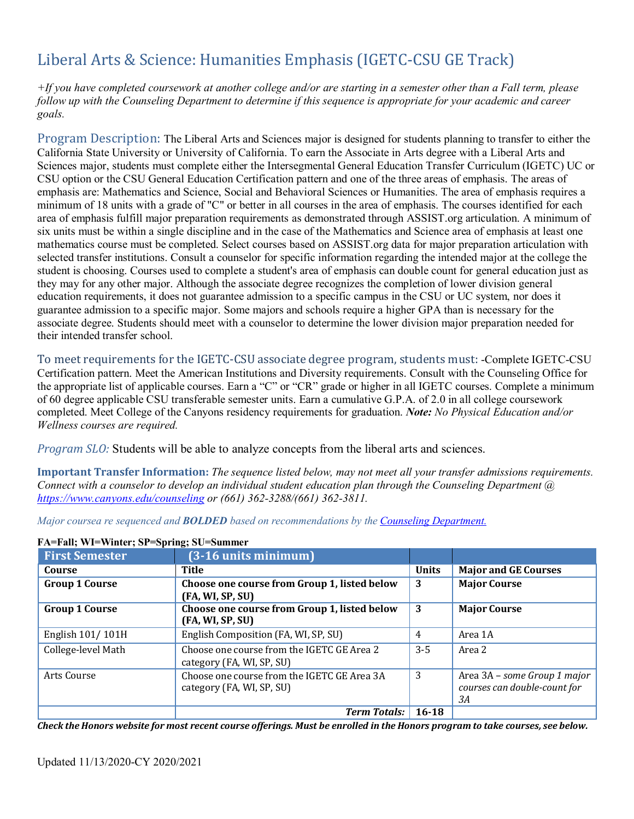# Liberal Arts & Science: Humanities Emphasis (IGETC-CSU GE Track)

*+If you have completed coursework at another college and/or are starting in a semester other than a Fall term, please follow up with the Counseling Department to determine if this sequence is appropriate for your academic and career goals.*

Program Description: The Liberal Arts and Sciences major is designed for students planning to transfer to either the California State University or University of California. To earn the Associate in Arts degree with a Liberal Arts and Sciences major, students must complete either the Intersegmental General Education Transfer Curriculum (IGETC) UC or CSU option or the CSU General Education Certification pattern and one of the three areas of emphasis. The areas of emphasis are: Mathematics and Science, Social and Behavioral Sciences or Humanities. The area of emphasis requires a minimum of 18 units with a grade of "C" or better in all courses in the area of emphasis. The courses identified for each area of emphasis fulfill major preparation requirements as demonstrated through ASSIST.org articulation. A minimum of six units must be within a single discipline and in the case of the Mathematics and Science area of emphasis at least one mathematics course must be completed. Select courses based on ASSIST.org data for major preparation articulation with selected transfer institutions. Consult a counselor for specific information regarding the intended major at the college the student is choosing. Courses used to complete a student's area of emphasis can double count for general education just as they may for any other major. Although the associate degree recognizes the completion of lower division general education requirements, it does not guarantee admission to a specific campus in the CSU or UC system, nor does it guarantee admission to a specific major. Some majors and schools require a higher GPA than is necessary for the associate degree. Students should meet with a counselor to determine the lower division major preparation needed for their intended transfer school.

To meet requirements for the IGETC-CSU associate degree program, students must: -Complete IGETC-CSU Certification pattern. Meet the American Institutions and Diversity requirements. Consult with the Counseling Office for the appropriate list of applicable courses. Earn a "C" or "CR" grade or higher in all IGETC courses. Complete a minimum of 60 degree applicable CSU transferable semester units. Earn a cumulative G.P.A. of 2.0 in all college coursework completed. Meet College of the Canyons residency requirements for graduation. *Note: No Physical Education and/or Wellness courses are required.*

*Program SLO:* Students will be able to analyze concepts from the liberal arts and sciences.

**Important Transfer Information:** *The sequence listed below, may not meet all your transfer admissions requirements. Connect with a counselor to develop an individual student education plan through the Counseling Department @ https[://www.canyons.edu/counseling](http://www.canyons.edu/counseling) or (661) 362-3288/(661) 362-3811.*

*Major coursea re sequenced and BOLDED based on recommendations by the Counseling Department.*

| <b>First Semester</b> | $(3-16$ units minimum $)$                                                |              |                                                                    |
|-----------------------|--------------------------------------------------------------------------|--------------|--------------------------------------------------------------------|
| Course                | Title                                                                    | <b>Units</b> | <b>Major and GE Courses</b>                                        |
| <b>Group 1 Course</b> | Choose one course from Group 1, listed below<br>(FA, WI, SP, SU)         | 3            | <b>Major Course</b>                                                |
| <b>Group 1 Course</b> | Choose one course from Group 1, listed below<br>(FA, WI, SP, SU)         | 3            | <b>Major Course</b>                                                |
| English 101/101H      | English Composition (FA, WI, SP, SU)                                     | 4            | Area 1A                                                            |
| College-level Math    | Choose one course from the IGETC GE Area 2<br>category (FA, WI, SP, SU)  | $3-5$        | Area 2                                                             |
| Arts Course           | Choose one course from the IGETC GE Area 3A<br>category (FA, WI, SP, SU) | 3            | Area 3A - some Group 1 major<br>courses can double-count for<br>3А |
|                       | <b>Term Totals:</b>                                                      | $16 - 18$    |                                                                    |

#### **FA=Fall; WI=Winter; SP=Spring; SU=Summer**

Check the Honors website for most recent course offerings. Must be enrolled in the Honors program to take courses, see below.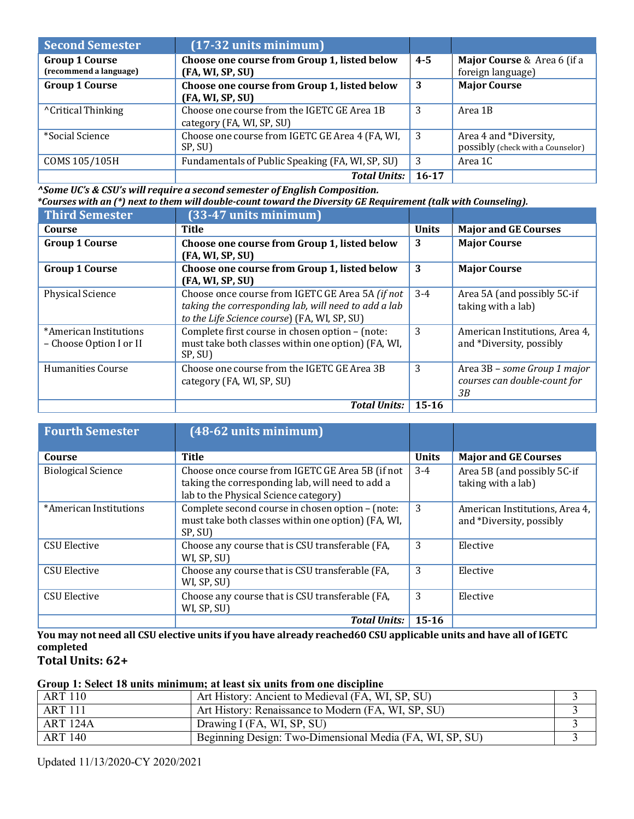| <b>Second Semester</b>                          | $(17-32 \text{ units minimum})$                                          |         |                                                             |
|-------------------------------------------------|--------------------------------------------------------------------------|---------|-------------------------------------------------------------|
| <b>Group 1 Course</b><br>(recommend a language) | Choose one course from Group 1, listed below<br>(FA, WI, SP, SU)         | $4 - 5$ | Major Course & Area 6 (if a<br>foreign language)            |
| <b>Group 1 Course</b>                           | Choose one course from Group 1, listed below<br>(FA, WI, SP, SU)         | 3       | <b>Major Course</b>                                         |
| <sup>^</sup> Critical Thinking                  | Choose one course from the IGETC GE Area 1B<br>category (FA, WI, SP, SU) | 3       | Area 1B                                                     |
| *Social Science                                 | Choose one course from IGETC GE Area 4 (FA, WI,<br>SP, SU)               | 3       | Area 4 and *Diversity,<br>possibly (check with a Counselor) |
| COMS 105/105H                                   | Fundamentals of Public Speaking (FA, WI, SP, SU)                         | 3       | Area 1C                                                     |
|                                                 | <b>Total Units:</b>                                                      | 16-17   |                                                             |

*^Some UC's & CSU's will require a second semester of English Composition.*

| *Courses with an (*) next to them will double-count toward the Diversity GE Requirement (talk with Counseling). |                                                                                                                                                          |              |                                                                    |
|-----------------------------------------------------------------------------------------------------------------|----------------------------------------------------------------------------------------------------------------------------------------------------------|--------------|--------------------------------------------------------------------|
| <b>Third Semester</b>                                                                                           | $(33-47$ units minimum)                                                                                                                                  |              |                                                                    |
| Course                                                                                                          | Title                                                                                                                                                    | <b>Units</b> | <b>Major and GE Courses</b>                                        |
| <b>Group 1 Course</b>                                                                                           | Choose one course from Group 1, listed below<br>(FA, WI, SP, SU)                                                                                         | 3            | <b>Major Course</b>                                                |
| <b>Group 1 Course</b>                                                                                           | Choose one course from Group 1, listed below<br>(FA, WI, SP, SU)                                                                                         | 3            | <b>Major Course</b>                                                |
| <b>Physical Science</b>                                                                                         | Choose once course from IGETC GE Area 5A (if not<br>taking the corresponding lab, will need to add a lab<br>to the Life Science course) (FA, WI, SP, SU) | $3-4$        | Area 5A (and possibly 5C-if<br>taking with a lab)                  |
| *American Institutions<br>- Choose Option I or II                                                               | Complete first course in chosen option - (note:<br>must take both classes within one option) (FA, WI,<br>SP, SU)                                         | 3            | American Institutions, Area 4,<br>and *Diversity, possibly         |
| <b>Humanities Course</b>                                                                                        | Choose one course from the IGETC GE Area 3B<br>category (FA, WI, SP, SU)                                                                                 | 3            | Area 3B - some Group 1 major<br>courses can double-count for<br>3B |
|                                                                                                                 | <b>Total Units:</b>                                                                                                                                      | $15 - 16$    |                                                                    |

| <b>Fourth Semester</b>    | $(48-62$ units minimum)                                                                                                                       |              |                                                            |
|---------------------------|-----------------------------------------------------------------------------------------------------------------------------------------------|--------------|------------------------------------------------------------|
| Course                    | <b>Title</b>                                                                                                                                  | <b>Units</b> | <b>Major and GE Courses</b>                                |
| <b>Biological Science</b> | Choose once course from IGETC GE Area 5B (if not<br>taking the corresponding lab, will need to add a<br>lab to the Physical Science category) | $3-4$        | Area 5B (and possibly 5C-if<br>taking with a lab)          |
| *American Institutions    | Complete second course in chosen option - (note:<br>must take both classes within one option) (FA, WI,<br>SP, SU)                             | 3            | American Institutions, Area 4,<br>and *Diversity, possibly |
| <b>CSU Elective</b>       | Choose any course that is CSU transferable (FA,<br>WI, SP, SU)                                                                                | 3            | Elective                                                   |
| <b>CSU Elective</b>       | Choose any course that is CSU transferable (FA,<br>WI, SP, SU)                                                                                | 3            | Elective                                                   |
| <b>CSU Elective</b>       | Choose any course that is CSU transferable (FA,<br>WI, SP, SU)                                                                                | 3            | Elective                                                   |
|                           | <b>Total Units:</b>                                                                                                                           | $15 - 16$    |                                                            |

You may not need all CSU elective units if you have already reached 60 CSU applicable units and have all of IGETC **completed**

**Total Units: 62+**

# **Group 1: Select 18 units minimum; at least six units from one discipline**

| <b>ART 110</b>  | Art History: Ancient to Medieval (FA, WI, SP, SU)        |  |
|-----------------|----------------------------------------------------------|--|
| <b>ART 111</b>  | Art History: Renaissance to Modern (FA, WI, SP, SU)      |  |
| <b>ART 124A</b> | Drawing I (FA, WI, SP, SU)                               |  |
| <b>ART 140</b>  | Beginning Design: Two-Dimensional Media (FA, WI, SP, SU) |  |